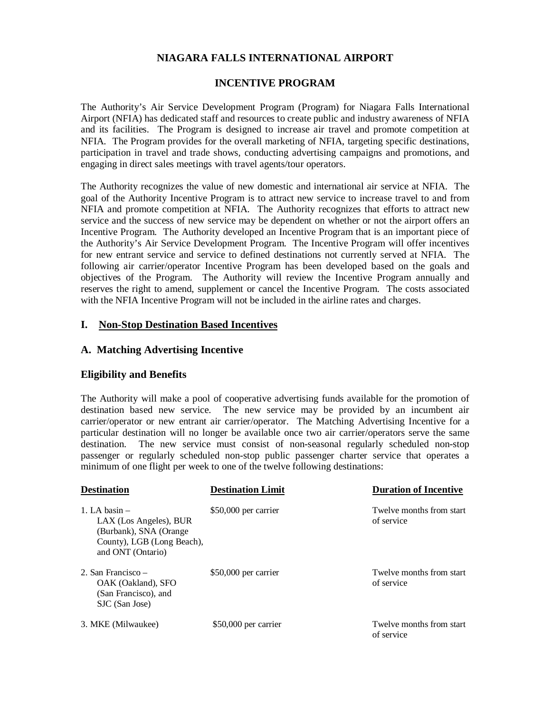## **NIAGARA FALLS INTERNATIONAL AIRPORT**

### **INCENTIVE PROGRAM**

The Authority's Air Service Development Program (Program) for Niagara Falls International Airport (NFIA) has dedicated staff and resources to create public and industry awareness of NFIA and its facilities. The Program is designed to increase air travel and promote competition at NFIA. The Program provides for the overall marketing of NFIA, targeting specific destinations, participation in travel and trade shows, conducting advertising campaigns and promotions, and engaging in direct sales meetings with travel agents/tour operators.

The Authority recognizes the value of new domestic and international air service at NFIA. The goal of the Authority Incentive Program is to attract new service to increase travel to and from NFIA and promote competition at NFIA. The Authority recognizes that efforts to attract new service and the success of new service may be dependent on whether or not the airport offers an Incentive Program. The Authority developed an Incentive Program that is an important piece of the Authority's Air Service Development Program. The Incentive Program will offer incentives for new entrant service and service to defined destinations not currently served at NFIA. The following air carrier/operator Incentive Program has been developed based on the goals and objectives of the Program. The Authority will review the Incentive Program annually and reserves the right to amend, supplement or cancel the Incentive Program. The costs associated with the NFIA Incentive Program will not be included in the airline rates and charges.

### **I. Non-Stop Destination Based Incentives**

### **A. Matching Advertising Incentive**

#### **Eligibility and Benefits**

The Authority will make a pool of cooperative advertising funds available for the promotion of destination based new service. The new service may be provided by an incumbent air carrier/operator or new entrant air carrier/operator. The Matching Advertising Incentive for a particular destination will no longer be available once two air carrier/operators serve the same destination. The new service must consist of non-seasonal regularly scheduled non-stop passenger or regularly scheduled non-stop public passenger charter service that operates a minimum of one flight per week to one of the twelve following destinations:

| <b>Destination</b>                                                                                                     | <b>Destination Limit</b> | <b>Duration of Incentive</b>           |
|------------------------------------------------------------------------------------------------------------------------|--------------------------|----------------------------------------|
| 1. LA basin $-$<br>LAX (Los Angeles), BUR<br>(Burbank), SNA (Orange<br>County), LGB (Long Beach),<br>and ONT (Ontario) | $$50,000$ per carrier    | Twelve months from start<br>of service |
| 2. San Francisco –<br>OAK (Oakland), SFO<br>(San Francisco), and<br>SJC (San Jose)                                     | \$50,000 per carrier     | Twelve months from start<br>of service |
| 3. MKE (Milwaukee)                                                                                                     | $$50,000$ per carrier    | Twelve months from start<br>of service |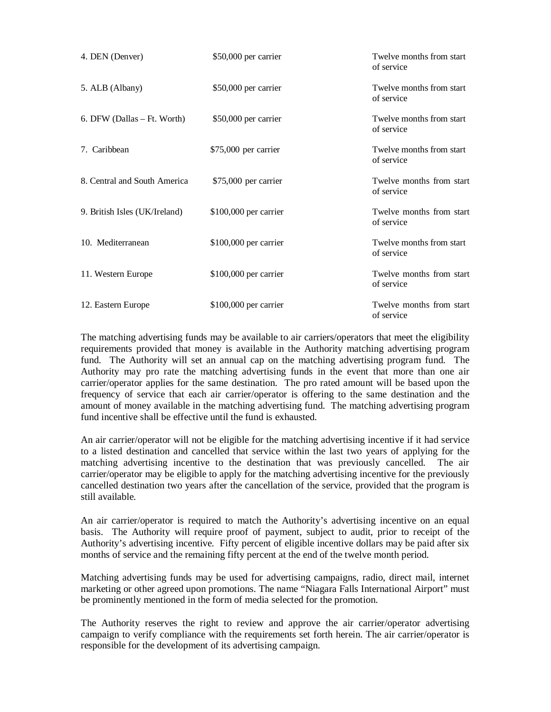| 4. DEN (Denver)               | \$50,000 per carrier   | Twelve months from start<br>of service |
|-------------------------------|------------------------|----------------------------------------|
| 5. ALB (Albany)               | $$50,000$ per carrier  | Twelve months from start<br>of service |
| 6. DFW (Dallas – Ft. Worth)   | \$50,000 per carrier   | Twelve months from start<br>of service |
| 7. Caribbean                  | $$75,000$ per carrier  | Twelve months from start<br>of service |
| 8. Central and South America  | \$75,000 per carrier   | Twelve months from start<br>of service |
| 9. British Isles (UK/Ireland) | $$100,000$ per carrier | Twelve months from start<br>of service |
| 10. Mediterranean             | \$100,000 per carrier  | Twelve months from start<br>of service |
| 11. Western Europe            | $$100,000$ per carrier | Twelve months from start<br>of service |
| 12. Eastern Europe            | $$100,000$ per carrier | Twelve months from start<br>of service |

The matching advertising funds may be available to air carriers/operators that meet the eligibility requirements provided that money is available in the Authority matching advertising program fund. The Authority will set an annual cap on the matching advertising program fund. The Authority may pro rate the matching advertising funds in the event that more than one air carrier/operator applies for the same destination. The pro rated amount will be based upon the frequency of service that each air carrier/operator is offering to the same destination and the amount of money available in the matching advertising fund. The matching advertising program fund incentive shall be effective until the fund is exhausted.

An air carrier/operator will not be eligible for the matching advertising incentive if it had service to a listed destination and cancelled that service within the last two years of applying for the matching advertising incentive to the destination that was previously cancelled. The air carrier/operator may be eligible to apply for the matching advertising incentive for the previously cancelled destination two years after the cancellation of the service, provided that the program is still available.

An air carrier/operator is required to match the Authority's advertising incentive on an equal basis. The Authority will require proof of payment, subject to audit, prior to receipt of the Authority's advertising incentive. Fifty percent of eligible incentive dollars may be paid after six months of service and the remaining fifty percent at the end of the twelve month period.

Matching advertising funds may be used for advertising campaigns, radio, direct mail, internet marketing or other agreed upon promotions. The name "Niagara Falls International Airport" must be prominently mentioned in the form of media selected for the promotion.

The Authority reserves the right to review and approve the air carrier/operator advertising campaign to verify compliance with the requirements set forth herein. The air carrier/operator is responsible for the development of its advertising campaign.